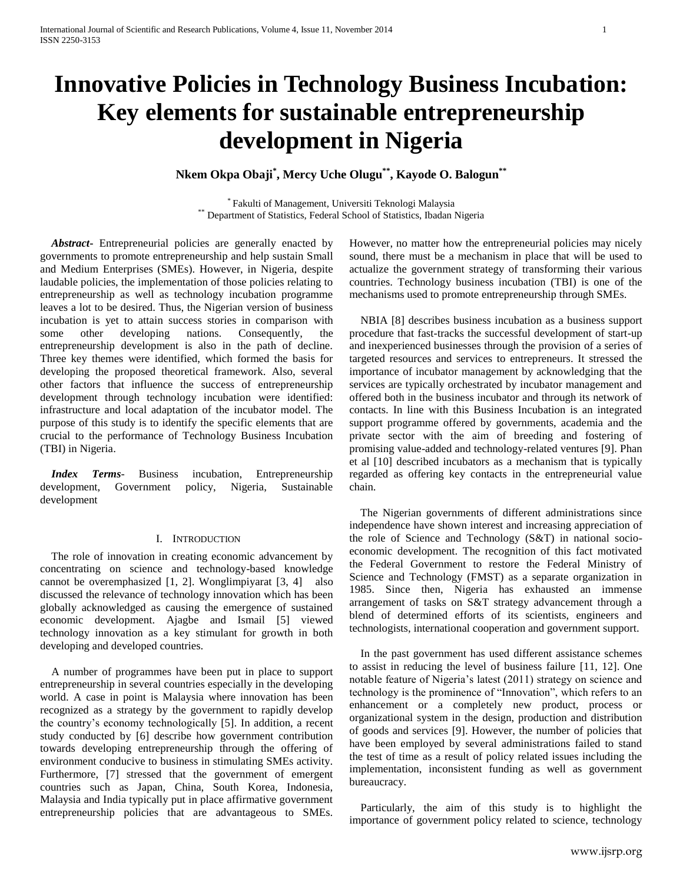# **Innovative Policies in Technology Business Incubation: Key elements for sustainable entrepreneurship development in Nigeria**

**Nkem Okpa Obaji\* , Mercy Uche Olugu\*\* , Kayode O. Balogun\*\***

\* Fakulti of Management, Universiti Teknologi Malaysia \*\* Department of Statistics, Federal School of Statistics, Ibadan Nigeria

 *Abstract***-** Entrepreneurial policies are generally enacted by governments to promote entrepreneurship and help sustain Small and Medium Enterprises (SMEs). However, in Nigeria, despite laudable policies, the implementation of those policies relating to entrepreneurship as well as technology incubation programme leaves a lot to be desired. Thus, the Nigerian version of business incubation is yet to attain success stories in comparison with some other developing nations. Consequently, the entrepreneurship development is also in the path of decline. Three key themes were identified, which formed the basis for developing the proposed theoretical framework. Also, several other factors that influence the success of entrepreneurship development through technology incubation were identified: infrastructure and local adaptation of the incubator model. The purpose of this study is to identify the specific elements that are crucial to the performance of Technology Business Incubation (TBI) in Nigeria.

 *Index Terms*- Business incubation, Entrepreneurship development, Government policy, Nigeria, Sustainable development

# I. INTRODUCTION

 The role of innovation in creating economic advancement by concentrating on science and technology-based knowledge cannot be overemphasized [1, 2]. Wonglimpiyarat [3, 4] also discussed the relevance of technology innovation which has been globally acknowledged as causing the emergence of sustained economic development. Ajagbe and Ismail [5] viewed technology innovation as a key stimulant for growth in both developing and developed countries.

 A number of programmes have been put in place to support entrepreneurship in several countries especially in the developing world. A case in point is Malaysia where innovation has been recognized as a strategy by the government to rapidly develop the country's economy technologically [5]. In addition, a recent study conducted by [6] describe how government contribution towards developing entrepreneurship through the offering of environment conducive to business in stimulating SMEs activity. Furthermore, [7] stressed that the government of emergent countries such as Japan, China, South Korea, Indonesia, Malaysia and India typically put in place affirmative government entrepreneurship policies that are advantageous to SMEs.

However, no matter how the entrepreneurial policies may nicely sound, there must be a mechanism in place that will be used to actualize the government strategy of transforming their various countries. Technology business incubation (TBI) is one of the mechanisms used to promote entrepreneurship through SMEs.

 NBIA [8] describes business incubation as a business support procedure that fast-tracks the successful development of start-up and inexperienced businesses through the provision of a series of targeted resources and services to entrepreneurs. It stressed the importance of incubator management by acknowledging that the services are typically orchestrated by incubator management and offered both in the business incubator and through its network of contacts. In line with this Business Incubation is an integrated support programme offered by governments, academia and the private sector with the aim of breeding and fostering of promising value-added and technology-related ventures [9]. Phan et al [10] described incubators as a mechanism that is typically regarded as offering key contacts in the entrepreneurial value chain.

 The Nigerian governments of different administrations since independence have shown interest and increasing appreciation of the role of Science and Technology (S&T) in national socioeconomic development. The recognition of this fact motivated the Federal Government to restore the Federal Ministry of Science and Technology (FMST) as a separate organization in 1985. Since then, Nigeria has exhausted an immense arrangement of tasks on S&T strategy advancement through a blend of determined efforts of its scientists, engineers and technologists, international cooperation and government support.

 In the past government has used different assistance schemes to assist in reducing the level of business failure [11, 12]. One notable feature of Nigeria's latest (2011) strategy on science and technology is the prominence of "Innovation", which refers to an enhancement or a completely new product, process or organizational system in the design, production and distribution of goods and services [9]. However, the number of policies that have been employed by several administrations failed to stand the test of time as a result of policy related issues including the implementation, inconsistent funding as well as government bureaucracy.

 Particularly, the aim of this study is to highlight the importance of government policy related to science, technology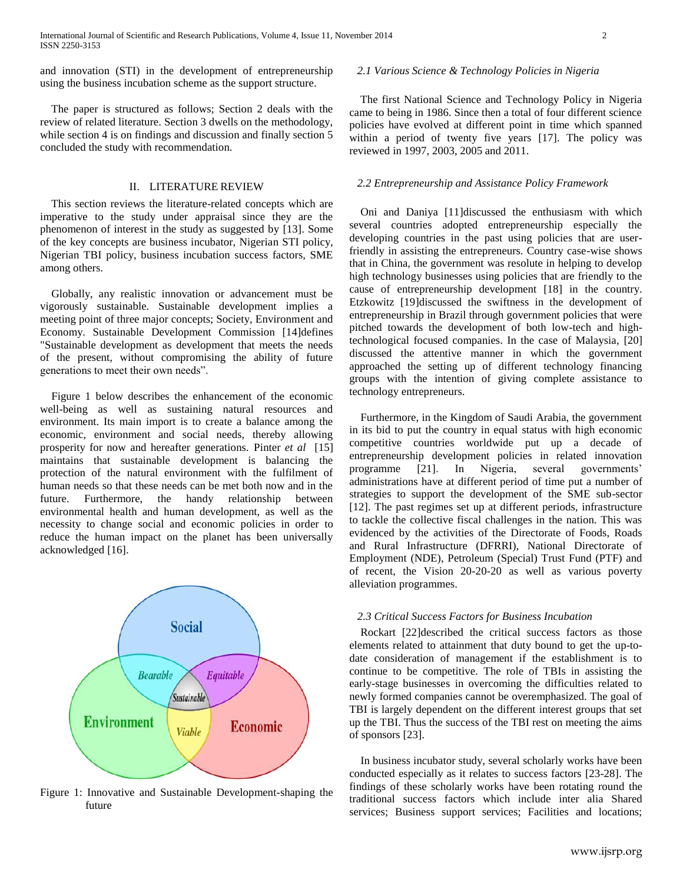and innovation (STI) in the development of entrepreneurship using the business incubation scheme as the support structure.

 The paper is structured as follows; Section 2 deals with the review of related literature. Section 3 dwells on the methodology, while section 4 is on findings and discussion and finally section 5 concluded the study with recommendation.

# II. LITERATURE REVIEW

 This section reviews the literature-related concepts which are imperative to the study under appraisal since they are the phenomenon of interest in the study as suggested by [13]. Some of the key concepts are business incubator, Nigerian STI policy, Nigerian TBI policy, business incubation success factors, SME among others.

 Globally, any realistic innovation or advancement must be vigorously sustainable. Sustainable development implies a meeting point of three major concepts; Society, Environment and Economy. Sustainable Development Commission [14]defines "Sustainable development as development that meets the needs of the present, without compromising the ability of future generations to meet their own needs".

 Figure 1 below describes the enhancement of the economic well-being as well as sustaining natural resources and environment. Its main import is to create a balance among the economic, environment and social needs, thereby allowing prosperity for now and hereafter generations. Pinter *et al* [15] maintains that sustainable development is balancing the protection of the natural environment with the fulfilment of human needs so that these needs can be met both now and in the future. Furthermore, the handy relationship between environmental health and human development, as well as the necessity to change social and economic policies in order to reduce the human impact on the planet has been universally acknowledged [16].



Figure 1: Innovative and Sustainable Development-shaping the future

### *2.1 Various Science & Technology Policies in Nigeria*

 The first National Science and Technology Policy in Nigeria came to being in 1986. Since then a total of four different science policies have evolved at different point in time which spanned within a period of twenty five years [17]. The policy was reviewed in 1997, 2003, 2005 and 2011.

#### *2.2 Entrepreneurship and Assistance Policy Framework*

 Oni and Daniya [11]discussed the enthusiasm with which several countries adopted entrepreneurship especially the developing countries in the past using policies that are userfriendly in assisting the entrepreneurs. Country case-wise shows that in China, the government was resolute in helping to develop high technology businesses using policies that are friendly to the cause of entrepreneurship development [18] in the country. Etzkowitz [19]discussed the swiftness in the development of entrepreneurship in Brazil through government policies that were pitched towards the development of both low-tech and hightechnological focused companies. In the case of Malaysia, [20] discussed the attentive manner in which the government approached the setting up of different technology financing groups with the intention of giving complete assistance to technology entrepreneurs.

 Furthermore, in the Kingdom of Saudi Arabia, the government in its bid to put the country in equal status with high economic competitive countries worldwide put up a decade of entrepreneurship development policies in related innovation programme [21]. In Nigeria, several governments' administrations have at different period of time put a number of strategies to support the development of the SME sub-sector [12]. The past regimes set up at different periods, infrastructure to tackle the collective fiscal challenges in the nation. This was evidenced by the activities of the Directorate of Foods, Roads and Rural Infrastructure (DFRRI), National Directorate of Employment (NDE), Petroleum (Special) Trust Fund (PTF) and of recent, the Vision 20-20-20 as well as various poverty alleviation programmes.

#### *2.3 Critical Success Factors for Business Incubation*

 Rockart [22]described the critical success factors as those elements related to attainment that duty bound to get the up-todate consideration of management if the establishment is to continue to be competitive. The role of TBIs in assisting the early-stage businesses in overcoming the difficulties related to newly formed companies cannot be overemphasized. The goal of TBI is largely dependent on the different interest groups that set up the TBI. Thus the success of the TBI rest on meeting the aims of sponsors [23].

 In business incubator study, several scholarly works have been conducted especially as it relates to success factors [23-28]. The findings of these scholarly works have been rotating round the traditional success factors which include inter alia Shared services; Business support services; Facilities and locations;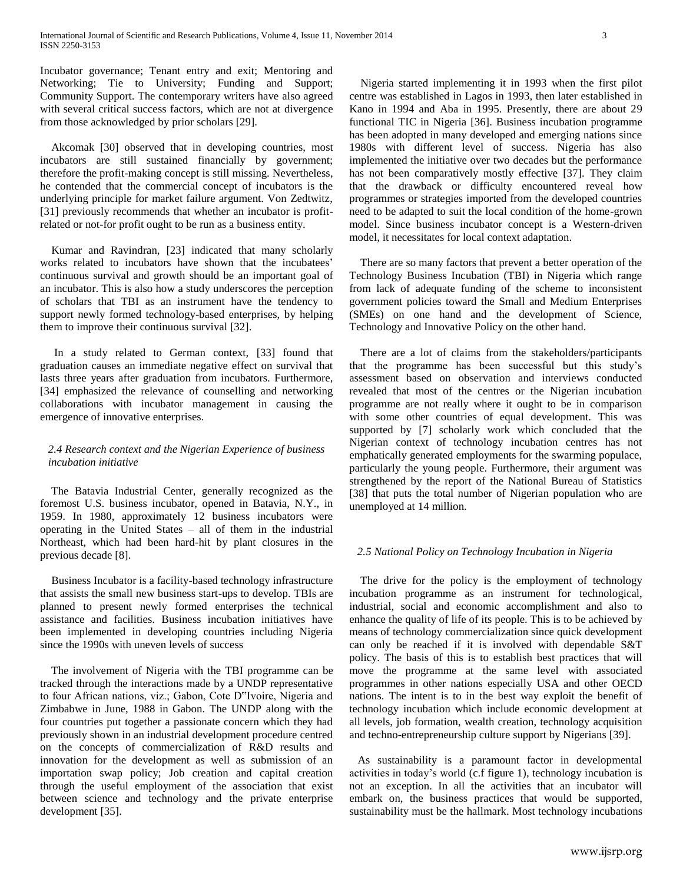Incubator governance; Tenant entry and exit; Mentoring and Networking; Tie to University; Funding and Support; Community Support. The contemporary writers have also agreed with several critical success factors, which are not at divergence from those acknowledged by prior scholars [29].

 Akcomak [30] observed that in developing countries, most incubators are still sustained financially by government; therefore the profit-making concept is still missing. Nevertheless, he contended that the commercial concept of incubators is the underlying principle for market failure argument. Von Zedtwitz, [31] previously recommends that whether an incubator is profitrelated or not-for profit ought to be run as a business entity.

 Kumar and Ravindran, [23] indicated that many scholarly works related to incubators have shown that the incubatees' continuous survival and growth should be an important goal of an incubator. This is also how a study underscores the perception of scholars that TBI as an instrument have the tendency to support newly formed technology-based enterprises, by helping them to improve their continuous survival [32].

 In a study related to German context, [33] found that graduation causes an immediate negative effect on survival that lasts three years after graduation from incubators. Furthermore, [34] emphasized the relevance of counselling and networking collaborations with incubator management in causing the emergence of innovative enterprises.

# *2.4 Research context and the Nigerian Experience of business incubation initiative*

 The Batavia Industrial Center, generally recognized as the foremost U.S. business incubator, opened in Batavia, N.Y., in 1959. In 1980, approximately 12 business incubators were operating in the United States – all of them in the industrial Northeast, which had been hard-hit by plant closures in the previous decade [8].

 Business Incubator is a facility-based technology infrastructure that assists the small new business start-ups to develop. TBIs are planned to present newly formed enterprises the technical assistance and facilities. Business incubation initiatives have been implemented in developing countries including Nigeria since the 1990s with uneven levels of success

 The involvement of Nigeria with the TBI programme can be tracked through the interactions made by a UNDP representative to four African nations, viz.; Gabon, Cote D"Ivoire, Nigeria and Zimbabwe in June, 1988 in Gabon. The UNDP along with the four countries put together a passionate concern which they had previously shown in an industrial development procedure centred on the concepts of commercialization of R&D results and innovation for the development as well as submission of an importation swap policy; Job creation and capital creation through the useful employment of the association that exist between science and technology and the private enterprise development [35].

 Nigeria started implementing it in 1993 when the first pilot centre was established in Lagos in 1993, then later established in Kano in 1994 and Aba in 1995. Presently, there are about 29 functional TIC in Nigeria [36]. Business incubation programme has been adopted in many developed and emerging nations since 1980s with different level of success. Nigeria has also implemented the initiative over two decades but the performance has not been comparatively mostly effective [37]. They claim that the drawback or difficulty encountered reveal how programmes or strategies imported from the developed countries need to be adapted to suit the local condition of the home-grown model. Since business incubator concept is a Western-driven model, it necessitates for local context adaptation.

 There are so many factors that prevent a better operation of the Technology Business Incubation (TBI) in Nigeria which range from lack of adequate funding of the scheme to inconsistent government policies toward the Small and Medium Enterprises (SMEs) on one hand and the development of Science, Technology and Innovative Policy on the other hand.

 There are a lot of claims from the stakeholders/participants that the programme has been successful but this study's assessment based on observation and interviews conducted revealed that most of the centres or the Nigerian incubation programme are not really where it ought to be in comparison with some other countries of equal development. This was supported by [7] scholarly work which concluded that the Nigerian context of technology incubation centres has not emphatically generated employments for the swarming populace, particularly the young people. Furthermore, their argument was strengthened by the report of the National Bureau of Statistics [38] that puts the total number of Nigerian population who are unemployed at 14 million.

# *2.5 National Policy on Technology Incubation in Nigeria*

 The drive for the policy is the employment of technology incubation programme as an instrument for technological, industrial, social and economic accomplishment and also to enhance the quality of life of its people. This is to be achieved by means of technology commercialization since quick development can only be reached if it is involved with dependable S&T policy. The basis of this is to establish best practices that will move the programme at the same level with associated programmes in other nations especially USA and other OECD nations. The intent is to in the best way exploit the benefit of technology incubation which include economic development at all levels, job formation, wealth creation, technology acquisition and techno-entrepreneurship culture support by Nigerians [39].

 As sustainability is a paramount factor in developmental activities in today's world (c.f figure 1), technology incubation is not an exception. In all the activities that an incubator will embark on, the business practices that would be supported, sustainability must be the hallmark. Most technology incubations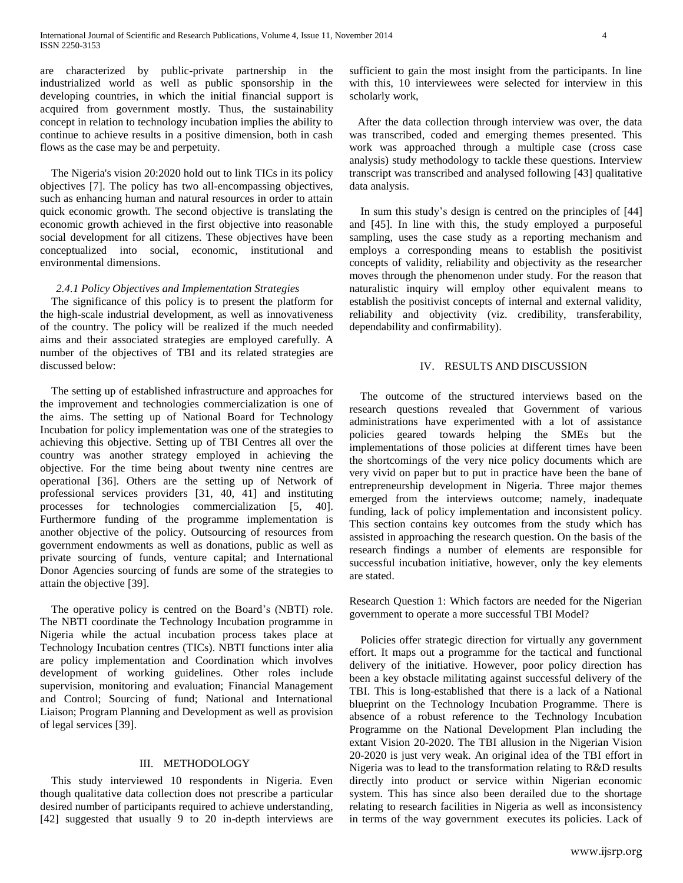are characterized by public-private partnership in the industrialized world as well as public sponsorship in the developing countries, in which the initial financial support is acquired from government mostly. Thus, the sustainability concept in relation to technology incubation implies the ability to continue to achieve results in a positive dimension, both in cash flows as the case may be and perpetuity.

 The Nigeria's vision 20:2020 hold out to link TICs in its policy objectives [7]. The policy has two all-encompassing objectives, such as enhancing human and natural resources in order to attain quick economic growth. The second objective is translating the economic growth achieved in the first objective into reasonable social development for all citizens. These objectives have been conceptualized into social, economic, institutional and environmental dimensions.

## *2.4.1 Policy Objectives and Implementation Strategies*

 The significance of this policy is to present the platform for the high-scale industrial development, as well as innovativeness of the country. The policy will be realized if the much needed aims and their associated strategies are employed carefully. A number of the objectives of TBI and its related strategies are discussed below:

 The setting up of established infrastructure and approaches for the improvement and technologies commercialization is one of the aims. The setting up of National Board for Technology Incubation for policy implementation was one of the strategies to achieving this objective. Setting up of TBI Centres all over the country was another strategy employed in achieving the objective. For the time being about twenty nine centres are operational [36]. Others are the setting up of Network of professional services providers [31, 40, 41] and instituting processes for technologies commercialization [5, 40]. Furthermore funding of the programme implementation is another objective of the policy. Outsourcing of resources from government endowments as well as donations, public as well as private sourcing of funds, venture capital; and International Donor Agencies sourcing of funds are some of the strategies to attain the objective [39].

 The operative policy is centred on the Board's (NBTI) role. The NBTI coordinate the Technology Incubation programme in Nigeria while the actual incubation process takes place at Technology Incubation centres (TICs). NBTI functions inter alia are policy implementation and Coordination which involves development of working guidelines. Other roles include supervision, monitoring and evaluation; Financial Management and Control; Sourcing of fund; National and International Liaison; Program Planning and Development as well as provision of legal services [39].

## III. METHODOLOGY

 This study interviewed 10 respondents in Nigeria. Even though qualitative data collection does not prescribe a particular desired number of participants required to achieve understanding, [42] suggested that usually 9 to 20 in-depth interviews are sufficient to gain the most insight from the participants. In line with this, 10 interviewees were selected for interview in this scholarly work,

 After the data collection through interview was over, the data was transcribed, coded and emerging themes presented. This work was approached through a multiple case (cross case analysis) study methodology to tackle these questions. Interview transcript was transcribed and analysed following [43] qualitative data analysis.

 In sum this study's design is centred on the principles of [44] and [45]. In line with this, the study employed a purposeful sampling, uses the case study as a reporting mechanism and employs a corresponding means to establish the positivist concepts of validity, reliability and objectivity as the researcher moves through the phenomenon under study. For the reason that naturalistic inquiry will employ other equivalent means to establish the positivist concepts of internal and external validity, reliability and objectivity (viz. credibility, transferability, dependability and confirmability).

#### IV. RESULTS AND DISCUSSION

 The outcome of the structured interviews based on the research questions revealed that Government of various administrations have experimented with a lot of assistance policies geared towards helping the SMEs but the implementations of those policies at different times have been the shortcomings of the very nice policy documents which are very vivid on paper but to put in practice have been the bane of entrepreneurship development in Nigeria. Three major themes emerged from the interviews outcome; namely, inadequate funding, lack of policy implementation and inconsistent policy. This section contains key outcomes from the study which has assisted in approaching the research question. On the basis of the research findings a number of elements are responsible for successful incubation initiative, however, only the key elements are stated.

Research Question 1: Which factors are needed for the Nigerian government to operate a more successful TBI Model?

 Policies offer strategic direction for virtually any government effort. It maps out a programme for the tactical and functional delivery of the initiative. However, poor policy direction has been a key obstacle militating against successful delivery of the TBI. This is long-established that there is a lack of a National blueprint on the Technology Incubation Programme. There is absence of a robust reference to the Technology Incubation Programme on the National Development Plan including the extant Vision 20-2020. The TBI allusion in the Nigerian Vision 20-2020 is just very weak. An original idea of the TBI effort in Nigeria was to lead to the transformation relating to R&D results directly into product or service within Nigerian economic system. This has since also been derailed due to the shortage relating to research facilities in Nigeria as well as inconsistency in terms of the way government executes its policies. Lack of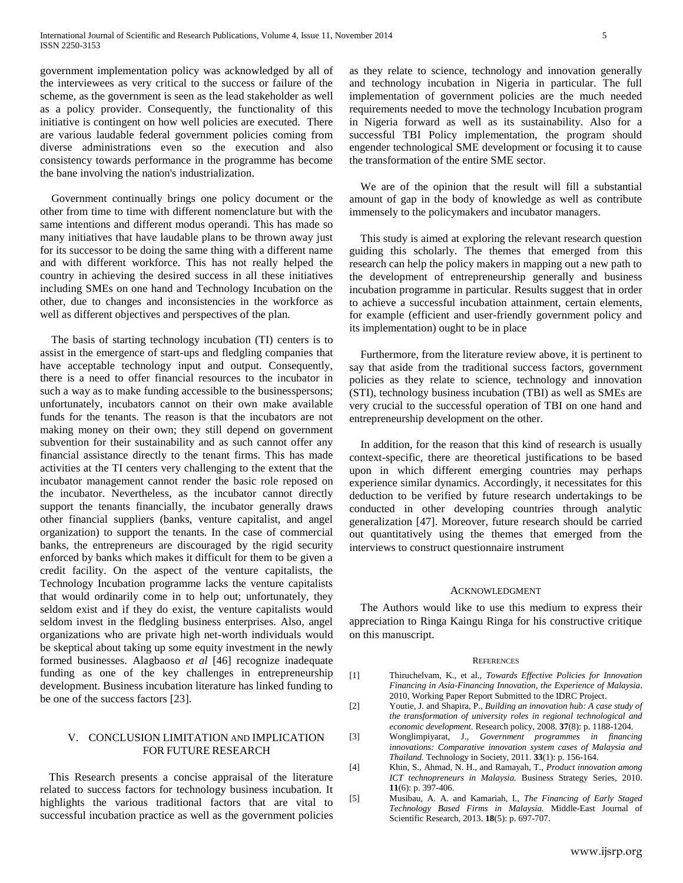government implementation policy was acknowledged by all of the interviewees as very critical to the success or failure of the scheme, as the government is seen as the lead stakeholder as well as a policy provider. Consequently, the functionality of this initiative is contingent on how well policies are executed. There are various laudable federal government policies coming from diverse administrations even so the execution and also consistency towards performance in the programme has become the bane involving the nation's industrialization.

 Government continually brings one policy document or the other from time to time with different nomenclature but with the same intentions and different modus operandi. This has made so many initiatives that have laudable plans to be thrown away just for its successor to be doing the same thing with a different name and with different workforce. This has not really helped the country in achieving the desired success in all these initiatives including SMEs on one hand and Technology Incubation on the other, due to changes and inconsistencies in the workforce as well as different objectives and perspectives of the plan.

 The basis of starting technology incubation (TI) centers is to assist in the emergence of start-ups and fledgling companies that have acceptable technology input and output. Consequently, there is a need to offer financial resources to the incubator in such a way as to make funding accessible to the businesspersons; unfortunately, incubators cannot on their own make available funds for the tenants. The reason is that the incubators are not making money on their own; they still depend on government subvention for their sustainability and as such cannot offer any financial assistance directly to the tenant firms. This has made activities at the TI centers very challenging to the extent that the incubator management cannot render the basic role reposed on the incubator. Nevertheless, as the incubator cannot directly support the tenants financially, the incubator generally draws other financial suppliers (banks, venture capitalist, and angel organization) to support the tenants. In the case of commercial banks, the entrepreneurs are discouraged by the rigid security enforced by banks which makes it difficult for them to be given a credit facility. On the aspect of the venture capitalists, the Technology Incubation programme lacks the venture capitalists that would ordinarily come in to help out; unfortunately, they seldom exist and if they do exist, the venture capitalists would seldom invest in the fledgling business enterprises. Also, angel organizations who are private high net-worth individuals would be skeptical about taking up some equity investment in the newly formed businesses. Alagbaoso *et al* [46] recognize inadequate funding as one of the key challenges in entrepreneurship development. Business incubation literature has linked funding to be one of the success factors [23].

#### V. CONCLUSION LIMITATION AND IMPLICATION FOR FUTURE RESEARCH

 This Research presents a concise appraisal of the literature related to success factors for technology business incubation. It highlights the various traditional factors that are vital to successful incubation practice as well as the government policies

as they relate to science, technology and innovation generally and technology incubation in Nigeria in particular. The full implementation of government policies are the much needed requirements needed to move the technology Incubation program in Nigeria forward as well as its sustainability. Also for a successful TBI Policy implementation, the program should engender technological SME development or focusing it to cause the transformation of the entire SME sector.

 We are of the opinion that the result will fill a substantial amount of gap in the body of knowledge as well as contribute immensely to the policymakers and incubator managers.

 This study is aimed at exploring the relevant research question guiding this scholarly. The themes that emerged from this research can help the policy makers in mapping out a new path to the development of entrepreneurship generally and business incubation programme in particular. Results suggest that in order to achieve a successful incubation attainment, certain elements, for example (efficient and user-friendly government policy and its implementation) ought to be in place

 Furthermore, from the literature review above, it is pertinent to say that aside from the traditional success factors, government policies as they relate to science, technology and innovation (STI), technology business incubation (TBI) as well as SMEs are very crucial to the successful operation of TBI on one hand and entrepreneurship development on the other.

 In addition, for the reason that this kind of research is usually context-specific, there are theoretical justifications to be based upon in which different emerging countries may perhaps experience similar dynamics. Accordingly, it necessitates for this deduction to be verified by future research undertakings to be conducted in other developing countries through analytic generalization [47]. Moreover, future research should be carried out quantitatively using the themes that emerged from the interviews to construct questionnaire instrument

#### ACKNOWLEDGMENT

The Authors would like to use this medium to express their appreciation to Ringa Kaingu Ringa for his constructive critique on this manuscript.

#### **REFERENCES**

- [1] Thiruchelvam, K., et al., *Towards Effective Policies for Innovation Financing in Asia-Financing Innovation, the Experience of Malaysia*. 2010, Working Paper Report Submitted to the IDRC Project.
- [2] Youtie, J. and Shapira, P., *Building an innovation hub: A case study of the transformation of university roles in regional technological and economic development.* Research policy, 2008. **37**(8): p. 1188-1204.
- [3] Wonglimpiyarat, J., *Government programmes in financing innovations: Comparative innovation system cases of Malaysia and Thailand.* Technology in Society, 2011. **33**(1): p. 156-164.
- [4] Khin, S., Ahmad, N. H., and Ramayah, T., *Product innovation among ICT technopreneurs in Malaysia.* Business Strategy Series, 2010. **11**(6): p. 397-406.
- [5] Musibau, A. A. and Kamariah, I., *The Financing of Early Staged Technology Based Firms in Malaysia.* Middle-East Journal of Scientific Research, 2013. **18**(5): p. 697-707.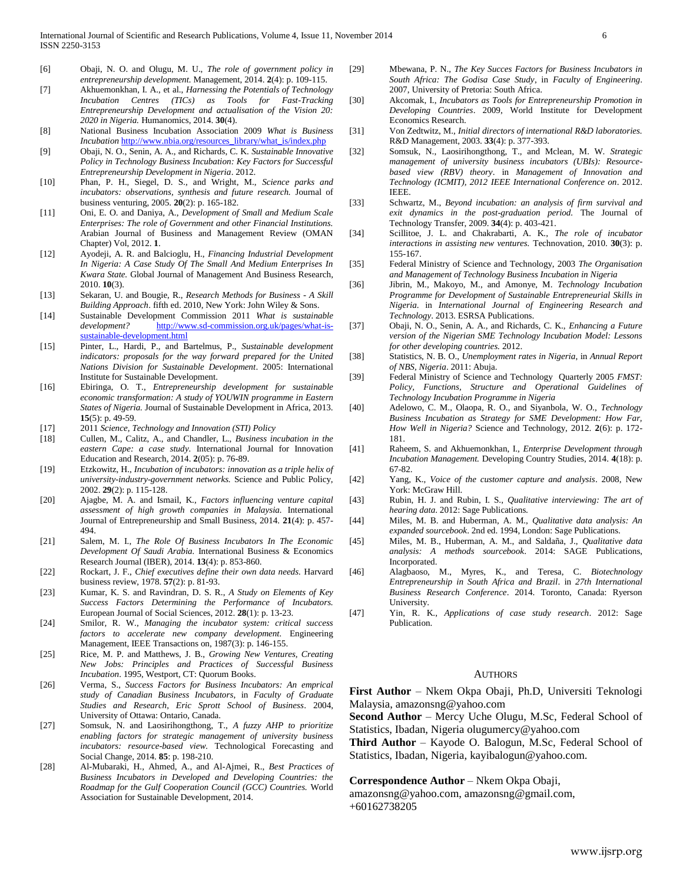- [6] Obaji, N. O. and Olugu, M. U., *The role of government policy in entrepreneurship development.* Management, 2014. **2**(4): p. 109-115.
- [7] Akhuemonkhan, I. A., et al., *Harnessing the Potentials of Technology Incubation Centres (TICs) as Tools for Fast-Tracking Entrepreneurship Development and actualisation of the Vision 20: 2020 in Nigeria.* Humanomics, 2014. **30**(4).
- [8] National Business Incubation Association 2009 *What is Business Incubation* [http://www.nbia.org/resources\\_library/what\\_is/index.php](http://www.nbia.org/resources_library/what_is/index.php)
- [9] Obaji, N. O., Senin, A. A., and Richards, C. K. *Sustainable Innovative Policy in Technology Business Incubation: Key Factors for Successful Entrepreneurship Development in Nigeria*. 2012.
- [10] Phan, P. H., Siegel, D. S., and Wright, M., *Science parks and incubators: observations, synthesis and future research.* Journal of business venturing, 2005. **20**(2): p. 165-182.
- [11] Oni, E. O. and Daniya, A., *Development of Small and Medium Scale Enterprises: The role of Government and other Financial Institutions.* Arabian Journal of Business and Management Review (OMAN Chapter) Vol, 2012. **1**.
- [12] Ayodeji, A. R. and Balcioglu, H., *Financing Industrial Development In Nigeria: A Case Study Of The Small And Medium Enterprises In Kwara State.* Global Journal of Management And Business Research, 2010. **10**(3).
- [13] Sekaran, U. and Bougie, R., *Research Methods for Business - A Skill Building Approach*. fifth ed. 2010, New York: John Wiley & Sons.
- [14] Sustainable Development Commission 2011 *What is sustainable development?* [http://www.sd-commission.org.uk/pages/what-is](http://www.sd-commission.org.uk/pages/what-is-sustainable-development.html)[sustainable-development.html](http://www.sd-commission.org.uk/pages/what-is-sustainable-development.html)
- [15] Pinter, L., Hardi, P., and Bartelmus, P., *Sustainable development indicators: proposals for the way forward prepared for the United Nations Division for Sustainable Development*. 2005: International Institute for Sustainable Development.
- [16] Ebiringa, O. T., *Entrepreneurship development for sustainable economic transformation: A study of YOUWIN programme in Eastern States of Nigeria.* Journal of Sustainable Development in Africa, 2013. **15**(5): p. 49-59.
- [17] 2011 *Science, Technology and Innovation (STI) Policy*
- [18] Cullen, M., Calitz, A., and Chandler, L., *Business incubation in the eastern Cape: a case study.* International Journal for Innovation Education and Research, 2014. **2**(05): p. 76-89.
- [19] Etzkowitz, H., *Incubation of incubators: innovation as a triple helix of university-industry-government networks.* Science and Public Policy, 2002. **29**(2): p. 115-128.
- [20] Ajagbe, M. A. and Ismail, K., *Factors influencing venture capital assessment of high growth companies in Malaysia.* International Journal of Entrepreneurship and Small Business, 2014. **21**(4): p. 457- 494.
- [21] Salem, M. I., *The Role Of Business Incubators In The Economic Development Of Saudi Arabia.* International Business & Economics Research Journal (IBER), 2014. **13**(4): p. 853-860.
- [22] Rockart, J. F., *Chief executives define their own data needs.* Harvard business review, 1978. **57**(2): p. 81-93.
- [23] Kumar, K. S. and Ravindran, D. S. R., *A Study on Elements of Key Success Factors Determining the Performance of Incubators.* European Journal of Social Sciences, 2012. **28**(1): p. 13-23.
- [24] Smilor, R. W., *Managing the incubator system: critical success factors to accelerate new company development.* Engineering Management, IEEE Transactions on, 1987(3): p. 146-155.
- [25] Rice, M. P. and Matthews, J. B., *Growing New Ventures, Creating New Jobs: Principles and Practices of Successful Business Incubation*. 1995, Westport, CT: Quorum Books.
- [26] Verma, S., *Success Factors for Business Incubators: An emprical study of Canadian Business Incubators*, in *Faculty of Graduate Studies and Research, Eric Sprott School of Business*. 2004, University of Ottawa: Ontario, Canada.
- [27] Somsuk, N. and Laosirihongthong, T., *A fuzzy AHP to prioritize enabling factors for strategic management of university business incubators: resource-based view.* Technological Forecasting and Social Change, 2014. **85**: p. 198-210.
- [28] Al-Mubaraki, H., Ahmed, A., and Al-Ajmei, R., *Best Practices of Business Incubators in Developed and Developing Countries: the Roadmap for the Gulf Cooperation Council (GCC) Countries.* World Association for Sustainable Development, 2014.
- [29] Mbewana, P. N., *The Key Succes Factors for Business Incubators in South Africa: The Godisa Case Study*, in *Faculty of Engineering*. 2007, University of Pretoria: South Africa.
- [30] Akcomak, I., *Incubators as Tools for Entrepreneurship Promotion in Developing Countries*. 2009, World Institute for Development Economics Research.
- [31] Von Zedtwitz, M., *Initial directors of international R&D laboratories.* R&D Management, 2003. **33**(4): p. 377-393.
- [32] Somsuk, N., Laosirihongthong, T., and Mclean, M. W. *Strategic management of university business incubators (UBIs): Resourcebased view (RBV) theory*. in *Management of Innovation and Technology (ICMIT), 2012 IEEE International Conference on*. 2012. IEEE.
- [33] Schwartz, M., *Beyond incubation: an analysis of firm survival and exit dynamics in the post-graduation period.* The Journal of Technology Transfer, 2009. **34**(4): p. 403-421.
- [34] Scillitoe, J. L. and Chakrabarti, A. K., *The role of incubator interactions in assisting new ventures.* Technovation, 2010. **30**(3): p. 155-167.
- [35] Federal Ministry of Science and Technology, 2003 *The Organisation and Management of Technology Business Incubation in Nigeria*
- [36] Jibrin, M., Makoyo, M., and Amonye, M. *Technology Incubation Programme for Development of Sustainable Entrepreneurial Skills in Nigeria*. in *International Journal of Engineering Research and Technology*. 2013. ESRSA Publications.
- [37] Obaji, N. O., Senin, A. A., and Richards, C. K., *Enhancing a Future version of the Nigerian SME Technology Incubation Model: Lessons for other developing countries.* 2012.
- [38] Statistics, N. B. O., *Unemployment rates in Nigeria*, in *Annual Report of NBS, Nigeria*. 2011: Abuja.
- [39] Federal Ministry of Science and Technology Quarterly 2005 *FMST: Policy, Functions, Structure and Operational Guidelines of Technology Incubation Programme in Nigeria*
- [40] Adelowo, C. M., Olaopa, R. O., and Siyanbola, W. O., *Technology Business Incubation as Strategy for SME Development: How Far, How Well in Nigeria?* Science and Technology, 2012. **2**(6): p. 172- 181.
- [41] Raheem, S. and Akhuemonkhan, I., *Enterprise Development through Incubation Management.* Developing Country Studies, 2014. **4**(18): p. 67-82.
- [42] Yang, K., *Voice of the customer capture and analysis*. 2008, New York: McGraw Hill.
- [43] Rubin, H. J. and Rubin, I. S., *Qualitative interviewing: The art of hearing data*. 2012: Sage Publications.
- [44] Miles, M. B. and Huberman, A. M., *Qualitative data analysis: An expanded sourcebook*. 2nd ed. 1994, London: Sage Publications.
- [45] Miles, M. B., Huberman, A. M., and Saldaña, J., *Qualitative data analysis: A methods sourcebook*. 2014: SAGE Publications, Incorporated.
- [46] Alagbaoso, M., Myres, K., and Teresa, C. *Biotechnology Entrepreneurship in South Africa and Brazil*. in *27th International Business Research Conference*. 2014. Toronto, Canada: Ryerson University.
- [47] Yin, R. K., *Applications of case study research*. 2012: Sage Publication.

#### AUTHORS

**First Author** – Nkem Okpa Obaji, Ph.D, Universiti Teknologi Malaysia, amazonsng@yahoo.com

**Second Author** – Mercy Uche Olugu, M.Sc, Federal School of Statistics, Ibadan, Nigeria olugumercy@yahoo.com

**Third Author** – Kayode O. Balogun, M.Sc, Federal School of Statistics, Ibadan, Nigeria, kayibalogun@yahoo.com.

**Correspondence Author** – Nkem Okpa Obaji,

amazonsng@yahoo.com, amazonsng@gmail.com, +60162738205